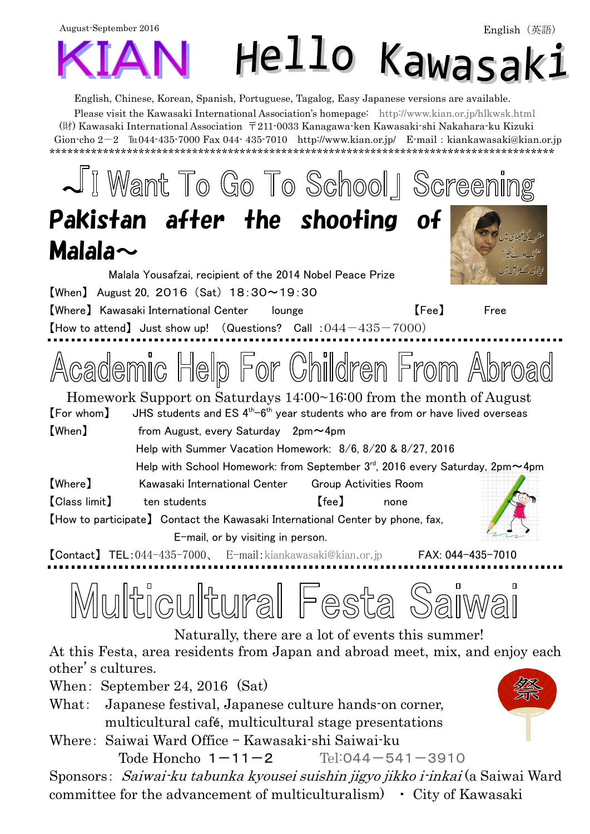August-September 2016 Hello Kawasak:

English, Chinese, Korean, Spanish, Portuguese, Tagalog, Easy Japanese versions are available.

Please visit the Kawasaki International Association's homepage: <http://www.kian.or.jp/hlkwsk.html> (財) Kawasaki International Association 〒211-0033 Kanagawa-ken Kawasaki-shi Nakahara-ku Kizuki Gion-cho  $2-2$   $\mathbb{I}$  044-435-7000 Fax 044-435-7010 <http://www.kian.or.jp/>E-mail: kiankawasaki@kian.or.jp \*\*\*\*\*\*\*\*\*\*\*\*\*\*\*\*\*\*\*\*\*\*\*\*\*\*\*\*\*\*\*\*\*\*\*\*\*\*\*\*\*\*\*\*\*\*\*\*\*\*\*\*\*\*\*\*\*\*\*\*\*\*\*\*\*\*\*\*\*\*\*\*\*\*\*\*\*\*\*\*\*\*\*\*\*

JI Want To Go To School | Screening Pakistan after the shooting of Malala $\sim$ Malala Yousafzai, recipient of the 2014 Nobel Peace Prize 【When】 August 20, 2016 (Sat) 18:30~19:30 【Where】 Kawasaki International Center lounge 【Fee】 Free  $[$ How to attend) Just show up! (Questions? Call :  $0.44 - 435 - 7000$ ) Academic Help For Children From Abroad Homework Support on Saturdays 14:00~16:00 from the month of August  $[$  For whom $]$  JHS students and ES  $4<sup>th</sup>$ -6<sup>th</sup> year students who are from or have lived overseas 【When】 from August, every Saturday 2pm~4pm Help with Summer Vacation Homework: 8/6, 8/20 & 8/27, 2016 Help with School Homework: from September  $3^{\text{rd}}$ , 2016 every Saturday, 2pm $\sim$ 4pm 【Where】 Kawasaki International Center Group Activities Room 【Class limit】 ten students 【fee】 none 【How to participate】 Contact the Kawasaki International Center by phone, fax, E-mail, or by visiting in person. 【Contact】 TEL:044-435-7000、 E-mail:[kiankawasaki@kian.or.jp](mailto:kiankawasaki@kian.or.jp) FAX: 044-435-7010  $\Box$ 

Multicultural Festa Saiv

Naturally, there are a lot of events this summer!

At this Festa, area residents from Japan and abroad meet, mix, and enjoy each other's cultures.

When: September 24, 2016 (Sat)

- What: Japanese festival, Japanese culture hands-on corner, multicultural café, multicultural stage presentations
- Where: Saiwai Ward Office Kawasaki-shi Saiwai-ku

Tode Honcho  $1-11-2$  Tel:[044-541-3910](Tel:０４４－５４１－３９１０)

Sponsors: Saiwai-ku tabunka kyousei suishin jigyo jikko i-inkai (a Saiwai Ward committee for the advancement of multiculturalism)  $\cdot$  City of Kawasaki